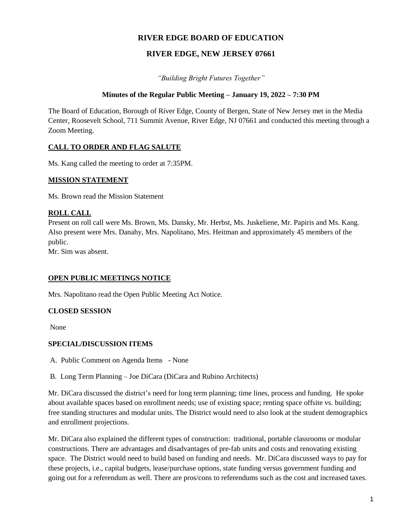# **RIVER EDGE BOARD OF EDUCATION**

# **RIVER EDGE, NEW JERSEY 07661**

*"Building Bright Futures Together"*

### **Minutes of the Regular Public Meeting – January 19, 2022 – 7:30 PM**

The Board of Education, Borough of River Edge, County of Bergen, State of New Jersey met in the Media Center, Roosevelt School, 711 Summit Avenue, River Edge, NJ 07661 and conducted this meeting through a Zoom Meeting.

## **CALL TO ORDER AND FLAG SALUTE**

Ms. Kang called the meeting to order at 7:35PM.

#### **MISSION STATEMENT**

Ms. Brown read the Mission Statement

#### **ROLL CALL**

Present on roll call were Ms. Brown, Ms. Dansky, Mr. Herbst, Ms. Juskeliene, Mr. Papiris and Ms. Kang. Also present were Mrs. Danahy, Mrs. Napolitano, Mrs. Heitman and approximately 45 members of the public.

Mr. Sim was absent.

#### **OPEN PUBLIC MEETINGS NOTICE**

Mrs. Napolitano read the Open Public Meeting Act Notice.

#### **CLOSED SESSION**

None

#### **SPECIAL/DISCUSSION ITEMS**

A. Public Comment on Agenda Items - None

B. Long Term Planning – Joe DiCara (DiCara and Rubino Architects)

Mr. DiCara discussed the district's need for long term planning; time lines, process and funding. He spoke about available spaces based on enrollment needs; use of existing space; renting space offsite vs. building; free standing structures and modular units. The District would need to also look at the student demographics and enrollment projections.

Mr. DiCara also explained the different types of construction: traditional, portable classrooms or modular constructions. There are advantages and disadvantages of pre-fab units and costs and renovating existing space. The District would need to build based on funding and needs. Mr. DiCara discussed ways to pay for these projects, i.e., capital budgets, lease/purchase options, state funding versus government funding and going out for a referendum as well. There are pros/cons to referendums such as the cost and increased taxes.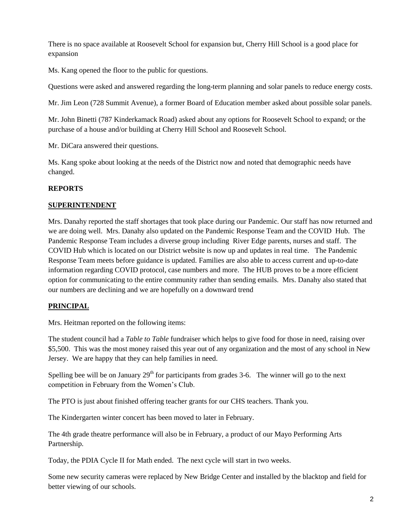There is no space available at Roosevelt School for expansion but, Cherry Hill School is a good place for expansion

Ms. Kang opened the floor to the public for questions.

Questions were asked and answered regarding the long-term planning and solar panels to reduce energy costs.

Mr. Jim Leon (728 Summit Avenue), a former Board of Education member asked about possible solar panels.

Mr. John Binetti (787 Kinderkamack Road) asked about any options for Roosevelt School to expand; or the purchase of a house and/or building at Cherry Hill School and Roosevelt School.

Mr. DiCara answered their questions.

Ms. Kang spoke about looking at the needs of the District now and noted that demographic needs have changed.

## **REPORTS**

# **SUPERINTENDENT**

Mrs. Danahy reported the staff shortages that took place during our Pandemic. Our staff has now returned and we are doing well. Mrs. Danahy also updated on the Pandemic Response Team and the COVID Hub. The Pandemic Response Team includes a diverse group including River Edge parents, nurses and staff. The COVID Hub which is located on our District website is now up and updates in real time. The Pandemic Response Team meets before guidance is updated. Families are also able to access current and up-to-date information regarding COVID protocol, case numbers and more. The HUB proves to be a more efficient option for communicating to the entire community rather than sending emails. Mrs. Danahy also stated that our numbers are declining and we are hopefully on a downward trend

# **PRINCIPAL**

Mrs. Heitman reported on the following items:

The student council had a *Table to Table* fundraiser which helps to give food for those in need, raising over \$5,500. This was the most money raised this year out of any organization and the most of any school in New Jersey. We are happy that they can help families in need.

Spelling bee will be on January  $29<sup>th</sup>$  for participants from grades 3-6. The winner will go to the next competition in February from the Women's Club.

The PTO is just about finished offering teacher grants for our CHS teachers. Thank you.

The Kindergarten winter concert has been moved to later in February.

The 4th grade theatre performance will also be in February, a product of our Mayo Performing Arts Partnership.

Today, the PDIA Cycle II for Math ended. The next cycle will start in two weeks.

Some new security cameras were replaced by New Bridge Center and installed by the blacktop and field for better viewing of our schools.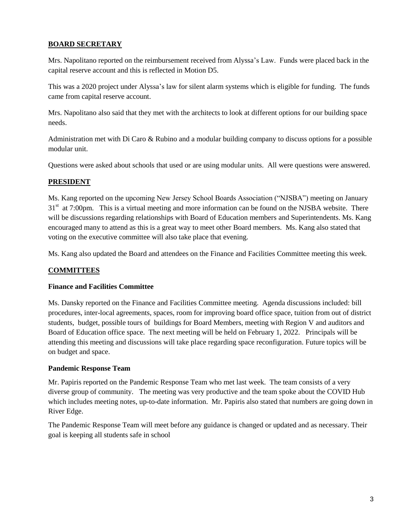# **BOARD SECRETARY**

Mrs. Napolitano reported on the reimbursement received from Alyssa's Law. Funds were placed back in the capital reserve account and this is reflected in Motion D5.

This was a 2020 project under Alyssa's law for silent alarm systems which is eligible for funding. The funds came from capital reserve account.

Mrs. Napolitano also said that they met with the architects to look at different options for our building space needs.

Administration met with Di Caro & Rubino and a modular building company to discuss options for a possible modular unit.

Questions were asked about schools that used or are using modular units. All were questions were answered.

## **PRESIDENT**

Ms. Kang reported on the upcoming New Jersey School Boards Association ("NJSBA") meeting on January  $31<sup>st</sup>$  at 7:00pm. This is a virtual meeting and more information can be found on the NJSBA website. There will be discussions regarding relationships with Board of Education members and Superintendents. Ms. Kang encouraged many to attend as this is a great way to meet other Board members. Ms. Kang also stated that voting on the executive committee will also take place that evening.

Ms. Kang also updated the Board and attendees on the Finance and Facilities Committee meeting this week.

## **COMMITTEES**

#### **Finance and Facilities Committee**

Ms. Dansky reported on the Finance and Facilities Committee meeting. Agenda discussions included: bill procedures, inter-local agreements, spaces, room for improving board office space, tuition from out of district students, budget, possible tours of buildings for Board Members, meeting with Region V and auditors and Board of Education office space. The next meeting will be held on February 1, 2022. Principals will be attending this meeting and discussions will take place regarding space reconfiguration. Future topics will be on budget and space.

#### **Pandemic Response Team**

Mr. Papiris reported on the Pandemic Response Team who met last week. The team consists of a very diverse group of community. The meeting was very productive and the team spoke about the COVID Hub which includes meeting notes, up-to-date information. Mr. Papiris also stated that numbers are going down in River Edge.

The Pandemic Response Team will meet before any guidance is changed or updated and as necessary. Their goal is keeping all students safe in school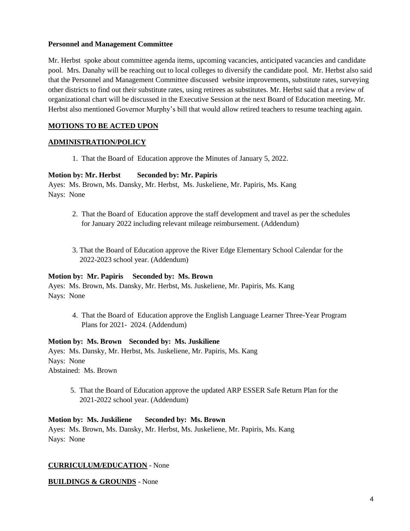### **Personnel and Management Committee**

Mr. Herbst spoke about committee agenda items, upcoming vacancies, anticipated vacancies and candidate pool. Mrs. Danahy will be reaching out to local colleges to diversify the candidate pool. Mr. Herbst also said that the Personnel and Management Committee discussed website improvements, substitute rates, surveying other districts to find out their substitute rates, using retirees as substitutes. Mr. Herbst said that a review of organizational chart will be discussed in the Executive Session at the next Board of Education meeting. Mr. Herbst also mentioned Governor Murphy's bill that would allow retired teachers to resume teaching again.

### **MOTIONS TO BE ACTED UPON**

#### **ADMINISTRATION/POLICY**

1. That the Board of Education approve the Minutes of January 5, 2022.

### **Motion by: Mr. Herbst Seconded by: Mr. Papiris**

Ayes: Ms. Brown, Ms. Dansky, Mr. Herbst, Ms. Juskeliene, Mr. Papiris, Ms. Kang Nays: None

- 2. That the Board of Education approve the staff development and travel as per the schedules for January 2022 including relevant mileage reimbursement. (Addendum)
- 3. That the Board of Education approve the River Edge Elementary School Calendar for the 2022-2023 school year. (Addendum)

#### **Motion by: Mr. Papiris Seconded by: Ms. Brown**

Ayes: Ms. Brown, Ms. Dansky, Mr. Herbst, Ms. Juskeliene, Mr. Papiris, Ms. Kang Nays: None

4. That the Board of Education approve the English Language Learner Three-Year Program Plans for 2021- 2024. (Addendum)

#### **Motion by: Ms. Brown Seconded by: Ms. Juskiliene**

Ayes: Ms. Dansky, Mr. Herbst, Ms. Juskeliene, Mr. Papiris, Ms. Kang Nays: None Abstained: Ms. Brown

> 5. That the Board of Education approve the updated ARP ESSER Safe Return Plan for the 2021-2022 school year. (Addendum)

#### **Motion by: Ms. Juskiliene Seconded by: Ms. Brown**

Ayes: Ms. Brown, Ms. Dansky, Mr. Herbst, Ms. Juskeliene, Mr. Papiris, Ms. Kang Nays: None

#### **CURRICULUM/EDUCATION** - None

#### **BUILDINGS & GROUNDS** - None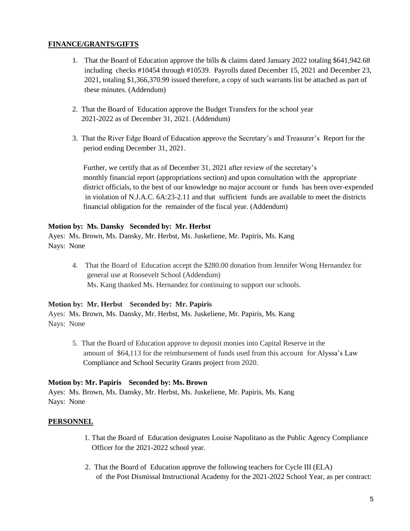## **FINANCE/GRANTS/GIFTS**

- 1. That the Board of Education approve the bills & claims dated January 2022 totaling \$641,942.68 including checks #10454 through #10539. Payrolls dated December 15, 2021 and December 23, 2021, totaling \$1,366,370.99 issued therefore, a copy of such warrants list be attached as part of these minutes. (Addendum)
- 2. That the Board of Education approve the Budget Transfers for the school year 2021-2022 as of December 31, 2021. (Addendum)
- 3. That the River Edge Board of Education approve the Secretary's and Treasurer's Report for the period ending December 31, 2021.

 Further, we certify that as of December 31, 2021 after review of the secretary's monthly financial report (appropriations section) and upon consultation with the appropriate district officials, to the best of our knowledge no major account or funds has been over-expended in violation of N.J.A.C. 6A:23-2.11 and that sufficient funds are available to meet the districts financial obligation for the remainder of the fiscal year. (Addendum)

## **Motion by: Ms. Dansky Seconded by: Mr. Herbst**

Ayes: Ms. Brown, Ms. Dansky, Mr. Herbst, Ms. Juskeliene, Mr. Papiris, Ms. Kang Nays: None

4. That the Board of Education accept the \$280.00 donation from Jennifer Wong Hernandez for general use at Roosevelt School (Addendum) Ms. Kang thanked Ms. Hernandez for continuing to support our schools.

## **Motion by: Mr. Herbst Seconded by: Mr. Papiris**

Ayes: Ms. Brown, Ms. Dansky, Mr. Herbst, Ms. Juskeliene, Mr. Papiris, Ms. Kang Nays: None

5. That the Board of Education approve to deposit monies into Capital Reserve in the amount of \$64,113 for the reimbursement of funds used from this account for Alyssa's Law Compliance and School Security Grants project from 2020.

## **Motion by: Mr. Papiris Seconded by: Ms. Brown**

Ayes: Ms. Brown, Ms. Dansky, Mr. Herbst, Ms. Juskeliene, Mr. Papiris, Ms. Kang Nays: None

## **PERSONNEL**

- 1. That the Board of Education designates Louise Napolitano as the Public Agency Compliance Officer for the 2021-2022 school year.
- 2. That the Board of Education approve the following teachers for Cycle III (ELA) of the Post Dismissal Instructional Academy for the 2021-2022 School Year, as per contract: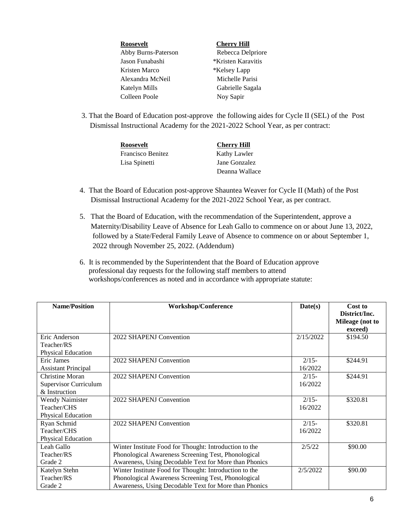| Roosevelt           | <b>Cherry Hill</b> |
|---------------------|--------------------|
| Abby Burns-Paterson | Rebecca Delpriore  |
| Jason Funabashi     | *Kristen Karavitis |
| Kristen Marco       | *Kelsey Lapp       |
| Alexandra McNeil    | Michelle Parisi    |
| Katelyn Mills       | Gabrielle Sagala   |
| Colleen Poole       | Noy Sapir          |
|                     |                    |

 3. That the Board of Education post-approve the following aides for Cycle II (SEL) of the Post Dismissal Instructional Academy for the 2021-2022 School Year, as per contract:

| Roosevelt                | <b>Cherry Hill</b> |  |
|--------------------------|--------------------|--|
| <b>Francisco Benitez</b> | Kathy Lawler       |  |
| Lisa Spinetti            | Jane Gonzalez      |  |
|                          | Deanna Wallace     |  |

- 4. That the Board of Education post-approve Shauntea Weaver for Cycle II (Math) of the Post Dismissal Instructional Academy for the 2021-2022 School Year, as per contract.
- 5. That the Board of Education, with the recommendation of the Superintendent, approve a Maternity/Disability Leave of Absence for Leah Gallo to commence on or about June 13, 2022, followed by a State/Federal Family Leave of Absence to commence on or about September 1, 2022 through November 25, 2022. (Addendum)
- 6. It is recommended by the Superintendent that the Board of Education approve professional day requests for the following staff members to attend workshops/conferences as noted and in accordance with appropriate statute:

| <b>Name/Position</b>       | <b>Workshop/Conference</b>                             | Date(s)   | Cost to         |
|----------------------------|--------------------------------------------------------|-----------|-----------------|
|                            |                                                        |           | District/Inc.   |
|                            |                                                        |           | Mileage (not to |
|                            |                                                        |           | exceed)         |
| Eric Anderson              | 2022 SHAPENJ Convention                                | 2/15/2022 | \$194.50        |
| Teacher/RS                 |                                                        |           |                 |
| <b>Physical Education</b>  |                                                        |           |                 |
| Eric James                 | 2022 SHAPENJ Convention                                | $2/15-$   | \$244.91        |
| <b>Assistant Principal</b> |                                                        | 16/2022   |                 |
| <b>Christine Moran</b>     | 2022 SHAPENJ Convention                                | $2/15-$   | \$244.91        |
| Supervisor Curriculum      |                                                        | 16/2022   |                 |
| & Instruction              |                                                        |           |                 |
| Wendy Naimister            | 2022 SHAPENJ Convention                                | $2/15-$   | \$320.81        |
| Teacher/CHS                |                                                        | 16/2022   |                 |
| <b>Physical Education</b>  |                                                        |           |                 |
| Ryan Schmid                | 2022 SHAPENJ Convention                                | $2/15-$   | \$320.81        |
| Teacher/CHS                |                                                        | 16/2022   |                 |
| Physical Education         |                                                        |           |                 |
| Leah Gallo                 | Winter Institute Food for Thought: Introduction to the | 2/5/22    | \$90.00         |
| Teacher/RS                 | Phonological Awareness Screening Test, Phonological    |           |                 |
| Grade 2                    | Awareness, Using Decodable Text for More than Phonics  |           |                 |
| Katelyn Stehn              | Winter Institute Food for Thought: Introduction to the | 2/5/2022  | \$90.00         |
| Teacher/RS                 | Phonological Awareness Screening Test, Phonological    |           |                 |
| Grade 2                    | Awareness, Using Decodable Text for More than Phonics  |           |                 |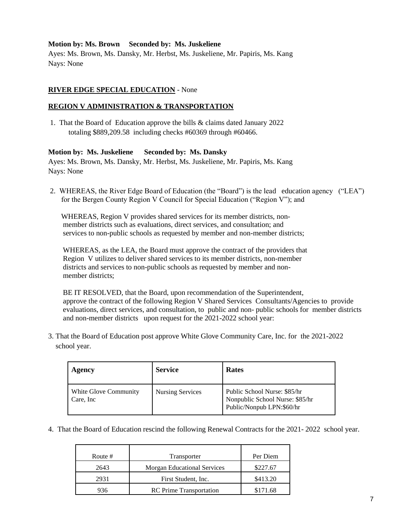### **Motion by: Ms. Brown Seconded by: Ms. Juskeliene**

Ayes: Ms. Brown, Ms. Dansky, Mr. Herbst, Ms. Juskeliene, Mr. Papiris, Ms. Kang Nays: None

#### **RIVER EDGE SPECIAL EDUCATION** - None

#### **REGION V ADMINISTRATION & TRANSPORTATION**

1. That the Board of Education approve the bills & claims dated January 2022 totaling \$889,209.58 including checks #60369 through #60466.

#### **Motion by: Ms. Juskeliene Seconded by: Ms. Dansky**

Ayes: Ms. Brown, Ms. Dansky, Mr. Herbst, Ms. Juskeliene, Mr. Papiris, Ms. Kang Nays: None

2. WHEREAS, the River Edge Board of Education (the "Board") is the lead education agency ("LEA") for the Bergen County Region V Council for Special Education ("Region V"); and

 WHEREAS, Region V provides shared services for its member districts, non member districts such as evaluations, direct services, and consultation; and services to non-public schools as requested by member and non-member districts;

 WHEREAS, as the LEA, the Board must approve the contract of the providers that Region V utilizes to deliver shared services to its member districts, non-member districts and services to non-public schools as requested by member and non member districts;

 BE IT RESOLVED, that the Board, upon recommendation of the Superintendent, approve the contract of the following Region V Shared Services Consultants/Agencies to provide evaluations, direct services, and consultation, to public and non- public schools for member districts and non-member districts upon request for the 2021-2022 school year:

3. That the Board of Education post approve White Glove Community Care, Inc. for the 2021-2022 school year.

| Agency                              | <b>Service</b>          | <b>Rates</b>                                                                                 |
|-------------------------------------|-------------------------|----------------------------------------------------------------------------------------------|
| White Glove Community<br>Care, Inc. | <b>Nursing Services</b> | Public School Nurse: \$85/hr<br>Nonpublic School Nurse: \$85/hr<br>Public/Nonpub LPN:\$60/hr |

4. That the Board of Education rescind the following Renewal Contracts for the 2021- 2022 school year.

| Route # | Transporter                        | Per Diem |
|---------|------------------------------------|----------|
| 2643    | <b>Morgan Educational Services</b> | \$227.67 |
| 2931    | First Student, Inc.                | \$413.20 |
|         | <b>RC</b> Prime Transportation     | \$171.68 |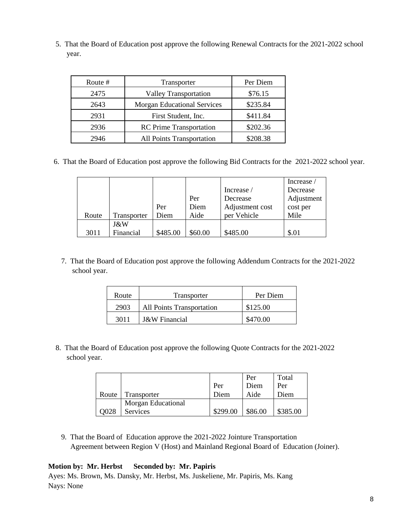5. That the Board of Education post approve the following Renewal Contracts for the 2021-2022 school year.

| Route # | Transporter                        | Per Diem |
|---------|------------------------------------|----------|
| 2475    | <b>Valley Transportation</b>       | \$76.15  |
| 2643    | <b>Morgan Educational Services</b> | \$235.84 |
| 2931    | First Student, Inc.                | \$411.84 |
| 2936    | <b>RC</b> Prime Transportation     | \$202.36 |
| 2946    | All Points Transportation          | \$208.38 |

6. That the Board of Education post approve the following Bid Contracts for the 2021-2022 school year.

|       |             |          |         |                 | Increase / |
|-------|-------------|----------|---------|-----------------|------------|
|       |             |          |         | Increase /      | Decrease   |
|       |             |          | Per     | Decrease        | Adjustment |
|       |             | Per      | Diem    | Adjustment cost | cost per   |
| Route | Transporter | Diem     | Aide    | per Vehicle     | Mile       |
|       | J&W         |          |         |                 |            |
| 3011  | Financial   | \$485.00 | \$60.00 | \$485.00        | \$.01      |

 7. That the Board of Education post approve the following Addendum Contracts for the 2021-2022 school year.

| Route | Transporter               | Per Diem |
|-------|---------------------------|----------|
| 2903  | All Points Transportation | \$125.00 |
| 3011  | J&W Financial             | \$470.00 |

 8. That the Board of Education post approve the following Quote Contracts for the 2021-2022 school year.

|            |                    |          | Per     | Total    |
|------------|--------------------|----------|---------|----------|
|            |                    | Per      | Diem    | Per      |
| Route      | Transporter        | Diem     | Aide    | Diem     |
|            | Morgan Educational |          |         |          |
| <b>COC</b> | Services           | \$299.00 | \$86.00 | \$385.00 |

 9. That the Board of Education approve the 2021-2022 Jointure Transportation Agreement between Region V (Host) and Mainland Regional Board of Education (Joiner).

#### **Motion by: Mr. Herbst Seconded by: Mr. Papiris**

Ayes: Ms. Brown, Ms. Dansky, Mr. Herbst, Ms. Juskeliene, Mr. Papiris, Ms. Kang Nays: None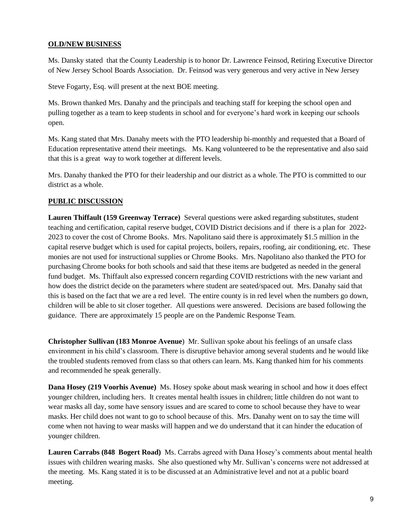### **OLD/NEW BUSINESS**

Ms. Dansky stated that the County Leadership is to honor Dr. Lawrence Feinsod, Retiring Executive Director of New Jersey School Boards Association. Dr. Feinsod was very generous and very active in New Jersey

Steve Fogarty, Esq. will present at the next BOE meeting.

Ms. Brown thanked Mrs. Danahy and the principals and teaching staff for keeping the school open and pulling together as a team to keep students in school and for everyone's hard work in keeping our schools open.

Ms. Kang stated that Mrs. Danahy meets with the PTO leadership bi-monthly and requested that a Board of Education representative attend their meetings. Ms. Kang volunteered to be the representative and also said that this is a great way to work together at different levels.

Mrs. Danahy thanked the PTO for their leadership and our district as a whole. The PTO is committed to our district as a whole.

# **PUBLIC DISCUSSION**

**Lauren Thiffault (159 Greenway Terrace)** Several questions were asked regarding substitutes, student teaching and certification, capital reserve budget, COVID District decisions and if there is a plan for 2022- 2023 to cover the cost of Chrome Books.Mrs. Napolitano said there is approximately \$1.5 million in the capital reserve budget which is used for capital projects, boilers, repairs, roofing, air conditioning, etc. These monies are not used for instructional supplies or Chrome Books. Mrs. Napolitano also thanked the PTO for purchasing Chrome books for both schools and said that these items are budgeted as needed in the general fund budget. Ms. Thiffault also expressed concern regarding COVID restrictions with the new variant and how does the district decide on the parameters where student are seated/spaced out. Mrs. Danahy said that this is based on the fact that we are a red level. The entire county is in red level when the numbers go down, children will be able to sit closer together. All questions were answered. Decisions are based following the guidance. There are approximately 15 people are on the Pandemic Response Team.

**Christopher Sullivan (183 Monroe Avenue**) Mr. Sullivan spoke about his feelings of an unsafe class environment in his child's classroom. There is disruptive behavior among several students and he would like the troubled students removed from class so that others can learn. Ms. Kang thanked him for his comments and recommended he speak generally.

**Dana Hosey (219 Voorhis Avenue)** Ms. Hosey spoke about mask wearing in school and how it does effect younger children, including hers. It creates mental health issues in children; little children do not want to wear masks all day, some have sensory issues and are scared to come to school because they have to wear masks. Her child does not want to go to school because of this. Mrs. Danahy went on to say the time will come when not having to wear masks will happen and we do understand that it can hinder the education of younger children.

**Lauren Carrabs (848 Bogert Road)** Ms. Carrabs agreed with Dana Hosey's comments about mental health issues with children wearing masks. She also questioned why Mr. Sullivan's concerns were not addressed at the meeting. Ms. Kang stated it is to be discussed at an Administrative level and not at a public board meeting.